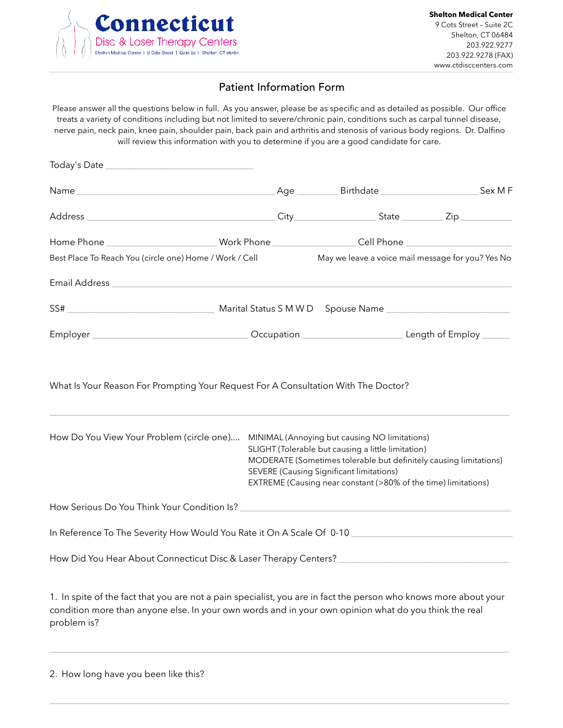

### Patient Information Form

Please answer all the questions below in full. As you answer, please be as specific and as detailed as possible. Our office treats a variety of conditions including but not limited to severe/chronic pain, conditions such as carpal tunnel disease, nerve pain, neck pain, knee pain, shoulder pain, back pain and arthritis and stenosis of various body regions. Dr. Dalfino will review this information with you to determine if you are a good candidate for care.

| Today's Date                                                                                                                                                                                                                                                                                                                            |  |  |                                                                                  |
|-----------------------------------------------------------------------------------------------------------------------------------------------------------------------------------------------------------------------------------------------------------------------------------------------------------------------------------------|--|--|----------------------------------------------------------------------------------|
|                                                                                                                                                                                                                                                                                                                                         |  |  |                                                                                  |
|                                                                                                                                                                                                                                                                                                                                         |  |  | City_________________________________State _________________Zip ________________ |
| Home Phone __________________________Work Phone __________________Cell Phone ______________________                                                                                                                                                                                                                                     |  |  |                                                                                  |
| Best Place To Reach You (circle one) Home / Work / Cell                                                                                                                                                                                                                                                                                 |  |  | May we leave a voice mail message for you? Yes No                                |
|                                                                                                                                                                                                                                                                                                                                         |  |  |                                                                                  |
|                                                                                                                                                                                                                                                                                                                                         |  |  |                                                                                  |
|                                                                                                                                                                                                                                                                                                                                         |  |  |                                                                                  |
|                                                                                                                                                                                                                                                                                                                                         |  |  |                                                                                  |
| How Do You View Your Problem (circle one) MINIMAL (Annoying but causing NO limitations)<br>SLIGHT (Tolerable but causing a little limitation)<br>MODERATE (Sometimes tolerable but definitely causing limitations)<br><b>SEVERE (Causing Significant limitations)</b><br>EXTREME (Causing near constant (>80% of the time) limitations) |  |  |                                                                                  |
|                                                                                                                                                                                                                                                                                                                                         |  |  |                                                                                  |
| In Reference To The Severity How Would You Rate it On A Scale Of 0-10                                                                                                                                                                                                                                                                   |  |  |                                                                                  |
| How Did You Hear About Connecticut Disc & Laser Therapy Centers? ___________________________________                                                                                                                                                                                                                                    |  |  |                                                                                  |
|                                                                                                                                                                                                                                                                                                                                         |  |  |                                                                                  |

1. In spite of the fact that you are not a pain specialist, you are in fact the person who knows more about your condition more than anyone else. In your own words and in your own opinion what do you think the real problem is?

 $\_$  , and the state of the state of the state of the state of the state of the state of the state of the state of the state of the state of the state of the state of the state of the state of the state of the state of the

 $\_$  , and the state of the state of the state of the state of the state of the state of the state of the state of the state of the state of the state of the state of the state of the state of the state of the state of the

2. How long have you been like this?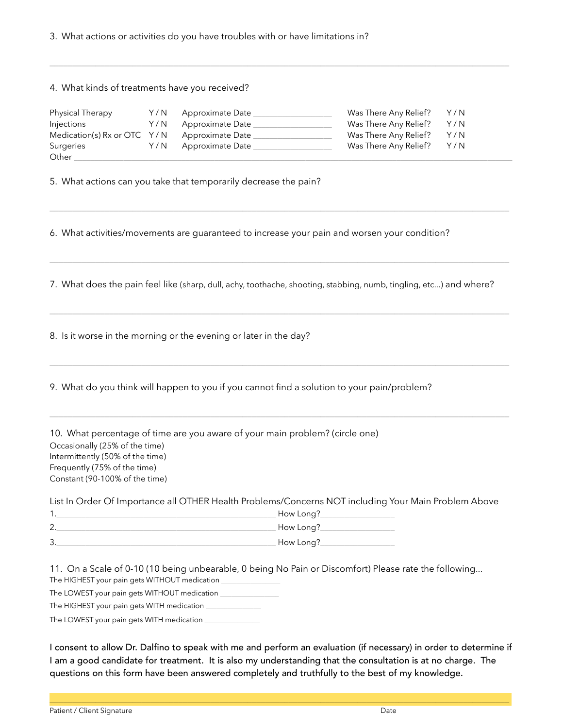3. What actions or activities do you have troubles with or have limitations in?

#### 4. What kinds of treatments have you received?

| Physical Therapy                             | Y/N | Approximate Date | Was There Any Relief? | Y/N |
|----------------------------------------------|-----|------------------|-----------------------|-----|
| Injections                                   | Y/N | Approximate Date | Was There Any Relief? | Y/N |
| Medication(s) Rx or OTC Y/N Approximate Date |     |                  | Was There Any Relief? | Y/N |
| Surgeries                                    | Y/N | Approximate Date | Was There Any Relief? | Y/N |
| Other                                        |     |                  |                       |     |

5. What actions can you take that temporarily decrease the pain?

6. What activities/movements are guaranteed to increase your pain and worsen your condition?

7. What does the pain feel like (sharp, dull, achy, toothache, shooting, stabbing, numb, tingling, etc...) and where?

 $\_$  , and the state of the state of the state of the state of the state of the state of the state of the state of the state of the state of the state of the state of the state of the state of the state of the state of the

 $\_$  , and the state of the state of the state of the state of the state of the state of the state of the state of the state of the state of the state of the state of the state of the state of the state of the state of the

 $\_$  , and the state of the state of the state of the state of the state of the state of the state of the state of the state of the state of the state of the state of the state of the state of the state of the state of the

 $\_$  , and the state of the state of the state of the state of the state of the state of the state of the state of the state of the state of the state of the state of the state of the state of the state of the state of the

8. Is it worse in the morning or the evening or later in the day?

9. What do you think will happen to you if you cannot find a solution to your pain/problem?

10. What percentage of time are you aware of your main problem? (circle one) Occasionally (25% of the time) Intermittently (50% of the time) Frequently (75% of the time) Constant (90-100% of the time)

List In Order Of Importance all OTHER Health Problems/Concerns NOT including Your Main Problem Above

|   | How Long? |
|---|-----------|
|   | How Long? |
| w | How Long? |

11. On a Scale of 0-10 (10 being unbearable, 0 being No Pain or Discomfort) Please rate the following...

The HIGHEST your pain gets WITHOUT medication

The LOWEST your pain gets WITHOUT medication \_

The HIGHEST your pain gets WITH medication

The LOWEST your pain gets WITH medication

I consent to allow Dr. Dalfino to speak with me and perform an evaluation (if necessary) in order to determine if I am a good candidate for treatment. It is also my understanding that the consultation is at no charge. The questions on this form have been answered completely and truthfully to the best of my knowledge.